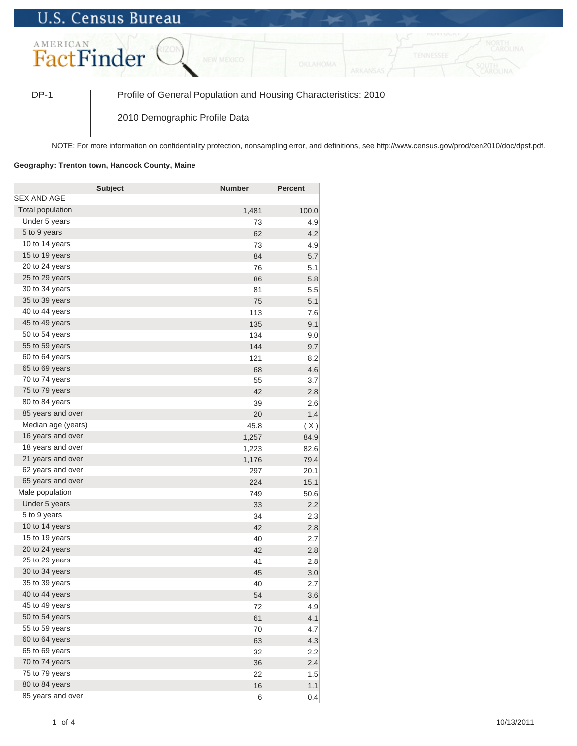## **U.S. Census Bureau**



DP-1 Profile of General Population and Housing Characteristics: 2010

2010 Demographic Profile Data

NOTE: For more information on confidentiality protection, nonsampling error, and definitions, see http://www.census.gov/prod/cen2010/doc/dpsf.pdf.

## **Geography: Trenton town, Hancock County, Maine**

| <b>Subject</b>     | <b>Number</b> | <b>Percent</b> |
|--------------------|---------------|----------------|
| SEX AND AGE        |               |                |
| Total population   | 1,481         | 100.0          |
| Under 5 years      | 73            | 4.9            |
| 5 to 9 years       | 62            | 4.2            |
| 10 to 14 years     | 73            | 4.9            |
| 15 to 19 years     | 84            | 5.7            |
| 20 to 24 years     | 76            | 5.1            |
| 25 to 29 years     | 86            | 5.8            |
| 30 to 34 years     | 81            | 5.5            |
| 35 to 39 years     | 75            | 5.1            |
| 40 to 44 years     | 113           | 7.6            |
| 45 to 49 years     | 135           | 9.1            |
| 50 to 54 years     | 134           | 9.0            |
| 55 to 59 years     | 144           | 9.7            |
| 60 to 64 years     | 121           | 8.2            |
| 65 to 69 years     | 68            | 4.6            |
| 70 to 74 years     | 55            | 3.7            |
| 75 to 79 years     | 42            | 2.8            |
| 80 to 84 years     | 39            | 2.6            |
| 85 years and over  | 20            | 1.4            |
| Median age (years) | 45.8          | (X)            |
| 16 years and over  | 1,257         | 84.9           |
| 18 years and over  | 1,223         | 82.6           |
| 21 years and over  | 1,176         | 79.4           |
| 62 years and over  | 297           | 20.1           |
| 65 years and over  | 224           | 15.1           |
| Male population    | 749           | 50.6           |
| Under 5 years      | 33            | 2.2            |
| 5 to 9 years       | 34            | 2.3            |
| 10 to 14 years     | 42            | 2.8            |
| 15 to 19 years     | 40            | 2.7            |
| 20 to 24 years     | 42            | 2.8            |
| 25 to 29 years     | 41            | 2.8            |
| 30 to 34 years     | 45            | 3.0            |
| 35 to 39 years     | 40            | 2.7            |
| 40 to 44 years     | 54            | 3.6            |
| 45 to 49 years     | 72            | 4.9            |
| 50 to 54 years     | 61            | 4.1            |
| 55 to 59 years     | 70            | 4.7            |
| 60 to 64 years     | 63            | 4.3            |
| 65 to 69 years     | 32            | 2.2            |
| 70 to 74 years     | 36            | 2.4            |
| 75 to 79 years     | 22            | 1.5            |
| 80 to 84 years     | 16            | 1.1            |
| 85 years and over  | 6             | 0.4            |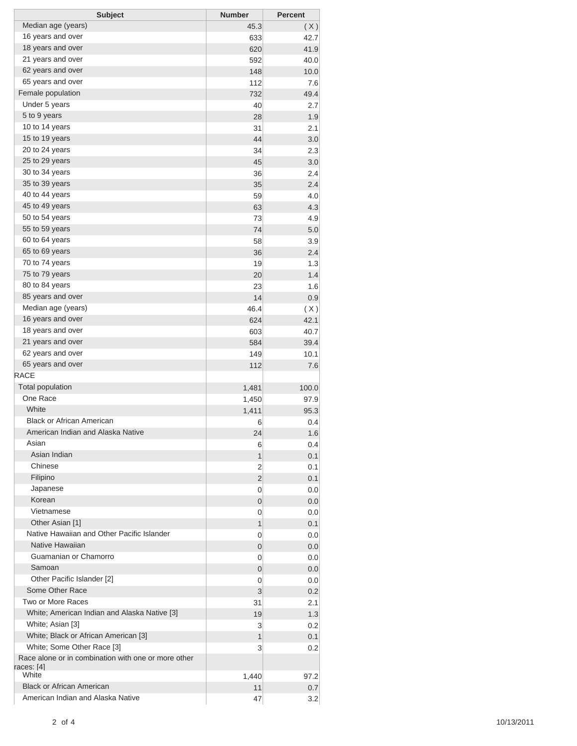| <b>Subject</b>                                      | <b>Number</b> | <b>Percent</b> |
|-----------------------------------------------------|---------------|----------------|
| Median age (years)                                  | 45.3          | (X)            |
| 16 years and over                                   | 633           | 42.7           |
| 18 years and over                                   | 620           | 41.9           |
| 21 years and over                                   | 592           | 40.0           |
| 62 years and over                                   | 148           | 10.0           |
| 65 years and over                                   | 112           | 7.6            |
| Female population                                   | 732           | 49.4           |
| Under 5 years                                       | 40            | 2.7            |
| 5 to 9 years                                        | 28            | 1.9            |
| 10 to 14 years                                      | 31            | 2.1            |
| 15 to 19 years                                      | 44            | 3.0            |
| 20 to 24 years                                      | 34            | 2.3            |
| 25 to 29 years                                      | 45            | 3.0            |
| 30 to 34 years                                      | 36            | 2.4            |
| 35 to 39 years                                      | 35            | 2.4            |
| 40 to 44 years                                      | 59            | 4.0            |
| 45 to 49 years                                      | 63            | 4.3            |
| 50 to 54 years                                      | 73            | 4.9            |
| 55 to 59 years                                      | 74            | 5.0            |
| 60 to 64 years                                      | 58            | 3.9            |
| 65 to 69 years                                      | 36            | 2.4            |
| 70 to 74 years                                      | 19            | 1.3            |
| 75 to 79 years                                      | 20            | 1.4            |
| 80 to 84 years                                      | 23            | 1.6            |
| 85 years and over                                   | 14            | 0.9            |
| Median age (years)                                  | 46.4          | (X)            |
| 16 years and over                                   | 624           | 42.1           |
| 18 years and over                                   | 603           | 40.7           |
| 21 years and over                                   | 584           | 39.4           |
| 62 years and over                                   | 149           | 10.1           |
| 65 years and over                                   | 112           | 7.6            |
| <b>RACE</b>                                         |               |                |
| <b>Total population</b>                             | 1,481         | 100.0          |
| One Race                                            | 1,450         | 97.9           |
| White                                               | 1,411         | 95.3           |
| <b>Black or African American</b>                    | 6             | 0.4            |
| American Indian and Alaska Native                   | 24            | 1.6            |
| Asian                                               | 6             | 0.4            |
| Asian Indian                                        | 1             | 0.1            |
| Chinese                                             | 2             | 0.1            |
| Filipino                                            | 2             | 0.1            |
| Japanese                                            | 0             | 0.0            |
| Korean                                              | 0             | 0.0            |
| Vietnamese                                          | 0             | 0.0            |
| Other Asian [1]                                     | 1             | 0.1            |
| Native Hawaiian and Other Pacific Islander          | 0             | 0.0            |
| Native Hawaiian                                     | 0             | 0.0            |
| Guamanian or Chamorro                               | 0             | 0.0            |
| Samoan                                              | 0             | 0.0            |
| Other Pacific Islander [2]                          | 0             | 0.0            |
| Some Other Race                                     | 3             | 0.2            |
| Two or More Races                                   | 31            | 2.1            |
| White; American Indian and Alaska Native [3]        | 19            | 1.3            |
| White; Asian [3]                                    | 3             | 0.2            |
| White; Black or African American [3]                | 1             |                |
| White; Some Other Race [3]                          |               | 0.1            |
| Race alone or in combination with one or more other | 3             | 0.2            |
| races: [4]                                          |               |                |
| White                                               | 1,440         | 97.2           |
| <b>Black or African American</b>                    | 11            | 0.7            |
| American Indian and Alaska Native                   | 47            | 3.2            |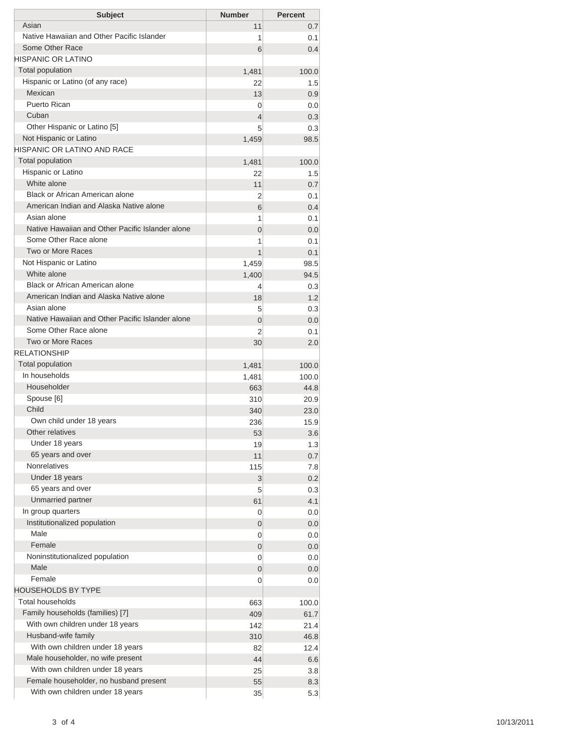| Asian<br>11<br>0.7<br>Native Hawaiian and Other Pacific Islander<br>0.1<br>1<br>Some Other Race<br>6<br>0.4<br><b>HISPANIC OR LATINO</b><br><b>Total population</b><br>1,481<br>100.0<br>Hispanic or Latino (of any race)<br>1.5<br>22<br>Mexican<br>13<br>0.9<br>Puerto Rican<br>0.0<br>0<br>Cuban<br>0.3<br>4<br>Other Hispanic or Latino [5]<br>5<br>0.3<br>Not Hispanic or Latino<br>1,459<br>98.5<br>HISPANIC OR LATINO AND RACE<br><b>Total population</b><br>1,481<br>100.0<br>Hispanic or Latino<br>1.5<br>22<br>White alone<br>11<br>0.7<br>Black or African American alone<br>2<br>0.1<br>American Indian and Alaska Native alone<br>6<br>0.4<br>Asian alone<br>1<br>0.1<br>Native Hawaiian and Other Pacific Islander alone<br>$\overline{0}$<br>0.0<br>Some Other Race alone<br>1<br>0.1<br>Two or More Races<br>1<br>0.1<br>Not Hispanic or Latino<br>1,459<br>98.5<br>White alone<br>94.5<br>1,400<br>Black or African American alone<br>0.3<br>4<br>American Indian and Alaska Native alone<br>1.2<br>18<br>Asian alone<br>5<br>0.3<br>Native Hawaiian and Other Pacific Islander alone<br>$\overline{0}$<br>0.0<br>Some Other Race alone<br>2<br>0.1<br>Two or More Races<br>30<br>2.0<br><b>RELATIONSHIP</b><br>Total population<br>1,481<br>100.0<br>In households<br>100.0<br>1,481<br>Householder<br>44.8<br>663<br>Spouse [6]<br>310<br>20.9<br>Child<br>340<br>23.0<br>Own child under 18 years<br>236<br>15.9<br>Other relatives<br>53<br>3.6<br>Under 18 years<br>1.3<br>19<br>65 years and over<br>11<br>0.7<br><b>Nonrelatives</b><br>115<br>7.8<br>Under 18 years<br>$\mathbf{3}$<br>0.2<br>65 years and over<br>5<br>0.3<br>Unmarried partner<br>61<br>4.1<br>In group quarters<br>0.0<br>0<br>Institutionalized population<br>0.0<br>0<br>Male<br>0.0<br>0<br>Female<br>0.0<br>0<br>Noninstitutionalized population<br>0.0<br>0<br>Male<br>0.0<br>0<br>Female<br>0.0<br>0<br><b>HOUSEHOLDS BY TYPE</b><br>Total households<br>663<br>100.0<br>Family households (families) [7]<br>409<br>61.7<br>With own children under 18 years<br>142<br>21.4<br>Husband-wife family<br>310<br>46.8<br>With own children under 18 years<br>12.4<br>82<br>Male householder, no wife present<br>44<br>6.6<br>With own children under 18 years<br>25<br>3.8<br>Female householder, no husband present<br>55<br>8.3 | <b>Subject</b>                   | <b>Number</b> | <b>Percent</b> |
|---------------------------------------------------------------------------------------------------------------------------------------------------------------------------------------------------------------------------------------------------------------------------------------------------------------------------------------------------------------------------------------------------------------------------------------------------------------------------------------------------------------------------------------------------------------------------------------------------------------------------------------------------------------------------------------------------------------------------------------------------------------------------------------------------------------------------------------------------------------------------------------------------------------------------------------------------------------------------------------------------------------------------------------------------------------------------------------------------------------------------------------------------------------------------------------------------------------------------------------------------------------------------------------------------------------------------------------------------------------------------------------------------------------------------------------------------------------------------------------------------------------------------------------------------------------------------------------------------------------------------------------------------------------------------------------------------------------------------------------------------------------------------------------------------------------------------------------------------------------------------------------------------------------------------------------------------------------------------------------------------------------------------------------------------------------------------------------------------------------------------------------------------------------------------------------------------------------------------------------------------------------------------------------------------------------------------------|----------------------------------|---------------|----------------|
|                                                                                                                                                                                                                                                                                                                                                                                                                                                                                                                                                                                                                                                                                                                                                                                                                                                                                                                                                                                                                                                                                                                                                                                                                                                                                                                                                                                                                                                                                                                                                                                                                                                                                                                                                                                                                                                                                                                                                                                                                                                                                                                                                                                                                                                                                                                                 |                                  |               |                |
|                                                                                                                                                                                                                                                                                                                                                                                                                                                                                                                                                                                                                                                                                                                                                                                                                                                                                                                                                                                                                                                                                                                                                                                                                                                                                                                                                                                                                                                                                                                                                                                                                                                                                                                                                                                                                                                                                                                                                                                                                                                                                                                                                                                                                                                                                                                                 |                                  |               |                |
|                                                                                                                                                                                                                                                                                                                                                                                                                                                                                                                                                                                                                                                                                                                                                                                                                                                                                                                                                                                                                                                                                                                                                                                                                                                                                                                                                                                                                                                                                                                                                                                                                                                                                                                                                                                                                                                                                                                                                                                                                                                                                                                                                                                                                                                                                                                                 |                                  |               |                |
|                                                                                                                                                                                                                                                                                                                                                                                                                                                                                                                                                                                                                                                                                                                                                                                                                                                                                                                                                                                                                                                                                                                                                                                                                                                                                                                                                                                                                                                                                                                                                                                                                                                                                                                                                                                                                                                                                                                                                                                                                                                                                                                                                                                                                                                                                                                                 |                                  |               |                |
|                                                                                                                                                                                                                                                                                                                                                                                                                                                                                                                                                                                                                                                                                                                                                                                                                                                                                                                                                                                                                                                                                                                                                                                                                                                                                                                                                                                                                                                                                                                                                                                                                                                                                                                                                                                                                                                                                                                                                                                                                                                                                                                                                                                                                                                                                                                                 |                                  |               |                |
|                                                                                                                                                                                                                                                                                                                                                                                                                                                                                                                                                                                                                                                                                                                                                                                                                                                                                                                                                                                                                                                                                                                                                                                                                                                                                                                                                                                                                                                                                                                                                                                                                                                                                                                                                                                                                                                                                                                                                                                                                                                                                                                                                                                                                                                                                                                                 |                                  |               |                |
|                                                                                                                                                                                                                                                                                                                                                                                                                                                                                                                                                                                                                                                                                                                                                                                                                                                                                                                                                                                                                                                                                                                                                                                                                                                                                                                                                                                                                                                                                                                                                                                                                                                                                                                                                                                                                                                                                                                                                                                                                                                                                                                                                                                                                                                                                                                                 |                                  |               |                |
|                                                                                                                                                                                                                                                                                                                                                                                                                                                                                                                                                                                                                                                                                                                                                                                                                                                                                                                                                                                                                                                                                                                                                                                                                                                                                                                                                                                                                                                                                                                                                                                                                                                                                                                                                                                                                                                                                                                                                                                                                                                                                                                                                                                                                                                                                                                                 |                                  |               |                |
|                                                                                                                                                                                                                                                                                                                                                                                                                                                                                                                                                                                                                                                                                                                                                                                                                                                                                                                                                                                                                                                                                                                                                                                                                                                                                                                                                                                                                                                                                                                                                                                                                                                                                                                                                                                                                                                                                                                                                                                                                                                                                                                                                                                                                                                                                                                                 |                                  |               |                |
|                                                                                                                                                                                                                                                                                                                                                                                                                                                                                                                                                                                                                                                                                                                                                                                                                                                                                                                                                                                                                                                                                                                                                                                                                                                                                                                                                                                                                                                                                                                                                                                                                                                                                                                                                                                                                                                                                                                                                                                                                                                                                                                                                                                                                                                                                                                                 |                                  |               |                |
|                                                                                                                                                                                                                                                                                                                                                                                                                                                                                                                                                                                                                                                                                                                                                                                                                                                                                                                                                                                                                                                                                                                                                                                                                                                                                                                                                                                                                                                                                                                                                                                                                                                                                                                                                                                                                                                                                                                                                                                                                                                                                                                                                                                                                                                                                                                                 |                                  |               |                |
|                                                                                                                                                                                                                                                                                                                                                                                                                                                                                                                                                                                                                                                                                                                                                                                                                                                                                                                                                                                                                                                                                                                                                                                                                                                                                                                                                                                                                                                                                                                                                                                                                                                                                                                                                                                                                                                                                                                                                                                                                                                                                                                                                                                                                                                                                                                                 |                                  |               |                |
|                                                                                                                                                                                                                                                                                                                                                                                                                                                                                                                                                                                                                                                                                                                                                                                                                                                                                                                                                                                                                                                                                                                                                                                                                                                                                                                                                                                                                                                                                                                                                                                                                                                                                                                                                                                                                                                                                                                                                                                                                                                                                                                                                                                                                                                                                                                                 |                                  |               |                |
|                                                                                                                                                                                                                                                                                                                                                                                                                                                                                                                                                                                                                                                                                                                                                                                                                                                                                                                                                                                                                                                                                                                                                                                                                                                                                                                                                                                                                                                                                                                                                                                                                                                                                                                                                                                                                                                                                                                                                                                                                                                                                                                                                                                                                                                                                                                                 |                                  |               |                |
|                                                                                                                                                                                                                                                                                                                                                                                                                                                                                                                                                                                                                                                                                                                                                                                                                                                                                                                                                                                                                                                                                                                                                                                                                                                                                                                                                                                                                                                                                                                                                                                                                                                                                                                                                                                                                                                                                                                                                                                                                                                                                                                                                                                                                                                                                                                                 |                                  |               |                |
|                                                                                                                                                                                                                                                                                                                                                                                                                                                                                                                                                                                                                                                                                                                                                                                                                                                                                                                                                                                                                                                                                                                                                                                                                                                                                                                                                                                                                                                                                                                                                                                                                                                                                                                                                                                                                                                                                                                                                                                                                                                                                                                                                                                                                                                                                                                                 |                                  |               |                |
|                                                                                                                                                                                                                                                                                                                                                                                                                                                                                                                                                                                                                                                                                                                                                                                                                                                                                                                                                                                                                                                                                                                                                                                                                                                                                                                                                                                                                                                                                                                                                                                                                                                                                                                                                                                                                                                                                                                                                                                                                                                                                                                                                                                                                                                                                                                                 |                                  |               |                |
|                                                                                                                                                                                                                                                                                                                                                                                                                                                                                                                                                                                                                                                                                                                                                                                                                                                                                                                                                                                                                                                                                                                                                                                                                                                                                                                                                                                                                                                                                                                                                                                                                                                                                                                                                                                                                                                                                                                                                                                                                                                                                                                                                                                                                                                                                                                                 |                                  |               |                |
|                                                                                                                                                                                                                                                                                                                                                                                                                                                                                                                                                                                                                                                                                                                                                                                                                                                                                                                                                                                                                                                                                                                                                                                                                                                                                                                                                                                                                                                                                                                                                                                                                                                                                                                                                                                                                                                                                                                                                                                                                                                                                                                                                                                                                                                                                                                                 |                                  |               |                |
|                                                                                                                                                                                                                                                                                                                                                                                                                                                                                                                                                                                                                                                                                                                                                                                                                                                                                                                                                                                                                                                                                                                                                                                                                                                                                                                                                                                                                                                                                                                                                                                                                                                                                                                                                                                                                                                                                                                                                                                                                                                                                                                                                                                                                                                                                                                                 |                                  |               |                |
|                                                                                                                                                                                                                                                                                                                                                                                                                                                                                                                                                                                                                                                                                                                                                                                                                                                                                                                                                                                                                                                                                                                                                                                                                                                                                                                                                                                                                                                                                                                                                                                                                                                                                                                                                                                                                                                                                                                                                                                                                                                                                                                                                                                                                                                                                                                                 |                                  |               |                |
|                                                                                                                                                                                                                                                                                                                                                                                                                                                                                                                                                                                                                                                                                                                                                                                                                                                                                                                                                                                                                                                                                                                                                                                                                                                                                                                                                                                                                                                                                                                                                                                                                                                                                                                                                                                                                                                                                                                                                                                                                                                                                                                                                                                                                                                                                                                                 |                                  |               |                |
|                                                                                                                                                                                                                                                                                                                                                                                                                                                                                                                                                                                                                                                                                                                                                                                                                                                                                                                                                                                                                                                                                                                                                                                                                                                                                                                                                                                                                                                                                                                                                                                                                                                                                                                                                                                                                                                                                                                                                                                                                                                                                                                                                                                                                                                                                                                                 |                                  |               |                |
|                                                                                                                                                                                                                                                                                                                                                                                                                                                                                                                                                                                                                                                                                                                                                                                                                                                                                                                                                                                                                                                                                                                                                                                                                                                                                                                                                                                                                                                                                                                                                                                                                                                                                                                                                                                                                                                                                                                                                                                                                                                                                                                                                                                                                                                                                                                                 |                                  |               |                |
|                                                                                                                                                                                                                                                                                                                                                                                                                                                                                                                                                                                                                                                                                                                                                                                                                                                                                                                                                                                                                                                                                                                                                                                                                                                                                                                                                                                                                                                                                                                                                                                                                                                                                                                                                                                                                                                                                                                                                                                                                                                                                                                                                                                                                                                                                                                                 |                                  |               |                |
|                                                                                                                                                                                                                                                                                                                                                                                                                                                                                                                                                                                                                                                                                                                                                                                                                                                                                                                                                                                                                                                                                                                                                                                                                                                                                                                                                                                                                                                                                                                                                                                                                                                                                                                                                                                                                                                                                                                                                                                                                                                                                                                                                                                                                                                                                                                                 |                                  |               |                |
|                                                                                                                                                                                                                                                                                                                                                                                                                                                                                                                                                                                                                                                                                                                                                                                                                                                                                                                                                                                                                                                                                                                                                                                                                                                                                                                                                                                                                                                                                                                                                                                                                                                                                                                                                                                                                                                                                                                                                                                                                                                                                                                                                                                                                                                                                                                                 |                                  |               |                |
|                                                                                                                                                                                                                                                                                                                                                                                                                                                                                                                                                                                                                                                                                                                                                                                                                                                                                                                                                                                                                                                                                                                                                                                                                                                                                                                                                                                                                                                                                                                                                                                                                                                                                                                                                                                                                                                                                                                                                                                                                                                                                                                                                                                                                                                                                                                                 |                                  |               |                |
|                                                                                                                                                                                                                                                                                                                                                                                                                                                                                                                                                                                                                                                                                                                                                                                                                                                                                                                                                                                                                                                                                                                                                                                                                                                                                                                                                                                                                                                                                                                                                                                                                                                                                                                                                                                                                                                                                                                                                                                                                                                                                                                                                                                                                                                                                                                                 |                                  |               |                |
|                                                                                                                                                                                                                                                                                                                                                                                                                                                                                                                                                                                                                                                                                                                                                                                                                                                                                                                                                                                                                                                                                                                                                                                                                                                                                                                                                                                                                                                                                                                                                                                                                                                                                                                                                                                                                                                                                                                                                                                                                                                                                                                                                                                                                                                                                                                                 |                                  |               |                |
|                                                                                                                                                                                                                                                                                                                                                                                                                                                                                                                                                                                                                                                                                                                                                                                                                                                                                                                                                                                                                                                                                                                                                                                                                                                                                                                                                                                                                                                                                                                                                                                                                                                                                                                                                                                                                                                                                                                                                                                                                                                                                                                                                                                                                                                                                                                                 |                                  |               |                |
|                                                                                                                                                                                                                                                                                                                                                                                                                                                                                                                                                                                                                                                                                                                                                                                                                                                                                                                                                                                                                                                                                                                                                                                                                                                                                                                                                                                                                                                                                                                                                                                                                                                                                                                                                                                                                                                                                                                                                                                                                                                                                                                                                                                                                                                                                                                                 |                                  |               |                |
|                                                                                                                                                                                                                                                                                                                                                                                                                                                                                                                                                                                                                                                                                                                                                                                                                                                                                                                                                                                                                                                                                                                                                                                                                                                                                                                                                                                                                                                                                                                                                                                                                                                                                                                                                                                                                                                                                                                                                                                                                                                                                                                                                                                                                                                                                                                                 |                                  |               |                |
|                                                                                                                                                                                                                                                                                                                                                                                                                                                                                                                                                                                                                                                                                                                                                                                                                                                                                                                                                                                                                                                                                                                                                                                                                                                                                                                                                                                                                                                                                                                                                                                                                                                                                                                                                                                                                                                                                                                                                                                                                                                                                                                                                                                                                                                                                                                                 |                                  |               |                |
|                                                                                                                                                                                                                                                                                                                                                                                                                                                                                                                                                                                                                                                                                                                                                                                                                                                                                                                                                                                                                                                                                                                                                                                                                                                                                                                                                                                                                                                                                                                                                                                                                                                                                                                                                                                                                                                                                                                                                                                                                                                                                                                                                                                                                                                                                                                                 |                                  |               |                |
|                                                                                                                                                                                                                                                                                                                                                                                                                                                                                                                                                                                                                                                                                                                                                                                                                                                                                                                                                                                                                                                                                                                                                                                                                                                                                                                                                                                                                                                                                                                                                                                                                                                                                                                                                                                                                                                                                                                                                                                                                                                                                                                                                                                                                                                                                                                                 |                                  |               |                |
|                                                                                                                                                                                                                                                                                                                                                                                                                                                                                                                                                                                                                                                                                                                                                                                                                                                                                                                                                                                                                                                                                                                                                                                                                                                                                                                                                                                                                                                                                                                                                                                                                                                                                                                                                                                                                                                                                                                                                                                                                                                                                                                                                                                                                                                                                                                                 |                                  |               |                |
|                                                                                                                                                                                                                                                                                                                                                                                                                                                                                                                                                                                                                                                                                                                                                                                                                                                                                                                                                                                                                                                                                                                                                                                                                                                                                                                                                                                                                                                                                                                                                                                                                                                                                                                                                                                                                                                                                                                                                                                                                                                                                                                                                                                                                                                                                                                                 |                                  |               |                |
|                                                                                                                                                                                                                                                                                                                                                                                                                                                                                                                                                                                                                                                                                                                                                                                                                                                                                                                                                                                                                                                                                                                                                                                                                                                                                                                                                                                                                                                                                                                                                                                                                                                                                                                                                                                                                                                                                                                                                                                                                                                                                                                                                                                                                                                                                                                                 |                                  |               |                |
|                                                                                                                                                                                                                                                                                                                                                                                                                                                                                                                                                                                                                                                                                                                                                                                                                                                                                                                                                                                                                                                                                                                                                                                                                                                                                                                                                                                                                                                                                                                                                                                                                                                                                                                                                                                                                                                                                                                                                                                                                                                                                                                                                                                                                                                                                                                                 |                                  |               |                |
|                                                                                                                                                                                                                                                                                                                                                                                                                                                                                                                                                                                                                                                                                                                                                                                                                                                                                                                                                                                                                                                                                                                                                                                                                                                                                                                                                                                                                                                                                                                                                                                                                                                                                                                                                                                                                                                                                                                                                                                                                                                                                                                                                                                                                                                                                                                                 |                                  |               |                |
|                                                                                                                                                                                                                                                                                                                                                                                                                                                                                                                                                                                                                                                                                                                                                                                                                                                                                                                                                                                                                                                                                                                                                                                                                                                                                                                                                                                                                                                                                                                                                                                                                                                                                                                                                                                                                                                                                                                                                                                                                                                                                                                                                                                                                                                                                                                                 |                                  |               |                |
|                                                                                                                                                                                                                                                                                                                                                                                                                                                                                                                                                                                                                                                                                                                                                                                                                                                                                                                                                                                                                                                                                                                                                                                                                                                                                                                                                                                                                                                                                                                                                                                                                                                                                                                                                                                                                                                                                                                                                                                                                                                                                                                                                                                                                                                                                                                                 |                                  |               |                |
|                                                                                                                                                                                                                                                                                                                                                                                                                                                                                                                                                                                                                                                                                                                                                                                                                                                                                                                                                                                                                                                                                                                                                                                                                                                                                                                                                                                                                                                                                                                                                                                                                                                                                                                                                                                                                                                                                                                                                                                                                                                                                                                                                                                                                                                                                                                                 |                                  |               |                |
|                                                                                                                                                                                                                                                                                                                                                                                                                                                                                                                                                                                                                                                                                                                                                                                                                                                                                                                                                                                                                                                                                                                                                                                                                                                                                                                                                                                                                                                                                                                                                                                                                                                                                                                                                                                                                                                                                                                                                                                                                                                                                                                                                                                                                                                                                                                                 |                                  |               |                |
|                                                                                                                                                                                                                                                                                                                                                                                                                                                                                                                                                                                                                                                                                                                                                                                                                                                                                                                                                                                                                                                                                                                                                                                                                                                                                                                                                                                                                                                                                                                                                                                                                                                                                                                                                                                                                                                                                                                                                                                                                                                                                                                                                                                                                                                                                                                                 |                                  |               |                |
|                                                                                                                                                                                                                                                                                                                                                                                                                                                                                                                                                                                                                                                                                                                                                                                                                                                                                                                                                                                                                                                                                                                                                                                                                                                                                                                                                                                                                                                                                                                                                                                                                                                                                                                                                                                                                                                                                                                                                                                                                                                                                                                                                                                                                                                                                                                                 |                                  |               |                |
|                                                                                                                                                                                                                                                                                                                                                                                                                                                                                                                                                                                                                                                                                                                                                                                                                                                                                                                                                                                                                                                                                                                                                                                                                                                                                                                                                                                                                                                                                                                                                                                                                                                                                                                                                                                                                                                                                                                                                                                                                                                                                                                                                                                                                                                                                                                                 |                                  |               |                |
|                                                                                                                                                                                                                                                                                                                                                                                                                                                                                                                                                                                                                                                                                                                                                                                                                                                                                                                                                                                                                                                                                                                                                                                                                                                                                                                                                                                                                                                                                                                                                                                                                                                                                                                                                                                                                                                                                                                                                                                                                                                                                                                                                                                                                                                                                                                                 |                                  |               |                |
|                                                                                                                                                                                                                                                                                                                                                                                                                                                                                                                                                                                                                                                                                                                                                                                                                                                                                                                                                                                                                                                                                                                                                                                                                                                                                                                                                                                                                                                                                                                                                                                                                                                                                                                                                                                                                                                                                                                                                                                                                                                                                                                                                                                                                                                                                                                                 |                                  |               |                |
|                                                                                                                                                                                                                                                                                                                                                                                                                                                                                                                                                                                                                                                                                                                                                                                                                                                                                                                                                                                                                                                                                                                                                                                                                                                                                                                                                                                                                                                                                                                                                                                                                                                                                                                                                                                                                                                                                                                                                                                                                                                                                                                                                                                                                                                                                                                                 |                                  |               |                |
|                                                                                                                                                                                                                                                                                                                                                                                                                                                                                                                                                                                                                                                                                                                                                                                                                                                                                                                                                                                                                                                                                                                                                                                                                                                                                                                                                                                                                                                                                                                                                                                                                                                                                                                                                                                                                                                                                                                                                                                                                                                                                                                                                                                                                                                                                                                                 |                                  |               |                |
|                                                                                                                                                                                                                                                                                                                                                                                                                                                                                                                                                                                                                                                                                                                                                                                                                                                                                                                                                                                                                                                                                                                                                                                                                                                                                                                                                                                                                                                                                                                                                                                                                                                                                                                                                                                                                                                                                                                                                                                                                                                                                                                                                                                                                                                                                                                                 |                                  |               |                |
|                                                                                                                                                                                                                                                                                                                                                                                                                                                                                                                                                                                                                                                                                                                                                                                                                                                                                                                                                                                                                                                                                                                                                                                                                                                                                                                                                                                                                                                                                                                                                                                                                                                                                                                                                                                                                                                                                                                                                                                                                                                                                                                                                                                                                                                                                                                                 |                                  |               |                |
|                                                                                                                                                                                                                                                                                                                                                                                                                                                                                                                                                                                                                                                                                                                                                                                                                                                                                                                                                                                                                                                                                                                                                                                                                                                                                                                                                                                                                                                                                                                                                                                                                                                                                                                                                                                                                                                                                                                                                                                                                                                                                                                                                                                                                                                                                                                                 |                                  |               |                |
|                                                                                                                                                                                                                                                                                                                                                                                                                                                                                                                                                                                                                                                                                                                                                                                                                                                                                                                                                                                                                                                                                                                                                                                                                                                                                                                                                                                                                                                                                                                                                                                                                                                                                                                                                                                                                                                                                                                                                                                                                                                                                                                                                                                                                                                                                                                                 |                                  |               |                |
|                                                                                                                                                                                                                                                                                                                                                                                                                                                                                                                                                                                                                                                                                                                                                                                                                                                                                                                                                                                                                                                                                                                                                                                                                                                                                                                                                                                                                                                                                                                                                                                                                                                                                                                                                                                                                                                                                                                                                                                                                                                                                                                                                                                                                                                                                                                                 |                                  |               |                |
|                                                                                                                                                                                                                                                                                                                                                                                                                                                                                                                                                                                                                                                                                                                                                                                                                                                                                                                                                                                                                                                                                                                                                                                                                                                                                                                                                                                                                                                                                                                                                                                                                                                                                                                                                                                                                                                                                                                                                                                                                                                                                                                                                                                                                                                                                                                                 |                                  |               |                |
|                                                                                                                                                                                                                                                                                                                                                                                                                                                                                                                                                                                                                                                                                                                                                                                                                                                                                                                                                                                                                                                                                                                                                                                                                                                                                                                                                                                                                                                                                                                                                                                                                                                                                                                                                                                                                                                                                                                                                                                                                                                                                                                                                                                                                                                                                                                                 | With own children under 18 years | 35            | 5.3            |